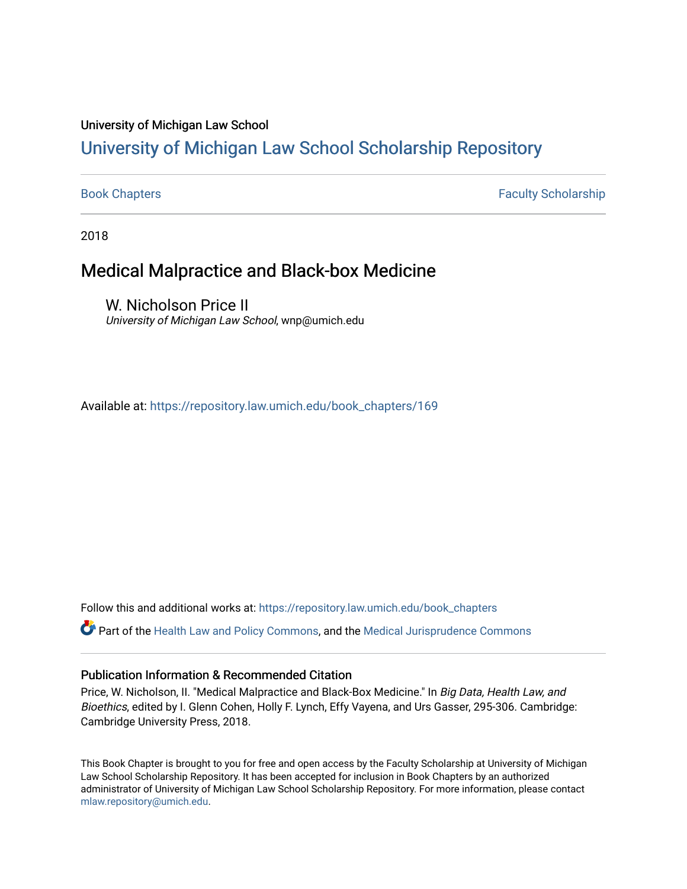### University of Michigan Law School

# [University of Michigan Law School Scholarship Repository](https://repository.law.umich.edu/)

[Book Chapters](https://repository.law.umich.edu/book_chapters) Faculty Scholarship

2018

# Medical Malpractice and Black-box Medicine

W. Nicholson Price II University of Michigan Law School, wnp@umich.edu

Available at: [https://repository.law.umich.edu/book\\_chapters/169](https://repository.law.umich.edu/book_chapters/169) 

Follow this and additional works at: [https://repository.law.umich.edu/book\\_chapters](https://repository.law.umich.edu/book_chapters?utm_source=repository.law.umich.edu%2Fbook_chapters%2F169&utm_medium=PDF&utm_campaign=PDFCoverPages)

Part of the [Health Law and Policy Commons](http://network.bepress.com/hgg/discipline/901?utm_source=repository.law.umich.edu%2Fbook_chapters%2F169&utm_medium=PDF&utm_campaign=PDFCoverPages), and the [Medical Jurisprudence Commons](http://network.bepress.com/hgg/discipline/860?utm_source=repository.law.umich.edu%2Fbook_chapters%2F169&utm_medium=PDF&utm_campaign=PDFCoverPages) 

## Publication Information & Recommended Citation

Price, W. Nicholson, II. "Medical Malpractice and Black-Box Medicine." In Big Data, Health Law, and Bioethics, edited by I. Glenn Cohen, Holly F. Lynch, Effy Vayena, and Urs Gasser, 295-306. Cambridge: Cambridge University Press, 2018.

This Book Chapter is brought to you for free and open access by the Faculty Scholarship at University of Michigan Law School Scholarship Repository. It has been accepted for inclusion in Book Chapters by an authorized administrator of University of Michigan Law School Scholarship Repository. For more information, please contact [mlaw.repository@umich.edu.](mailto:mlaw.repository@umich.edu)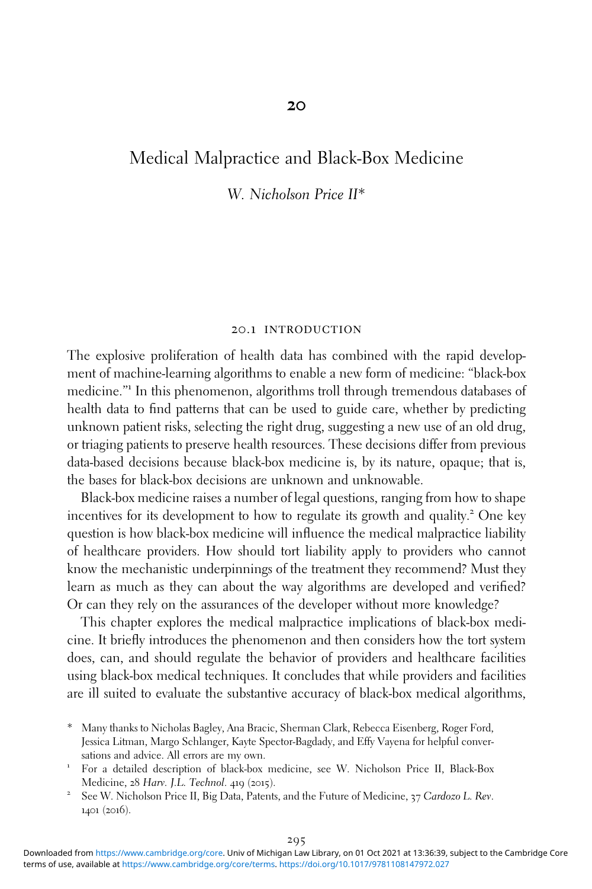# Medical Malpractice and Black-Box Medicine

W. Nicholson Price II\*

#### 20.1 introduction

The explosive proliferation of health data has combined with the rapid development of machine-learning algorithms to enable a new form of medicine: "black-box medicine." <sup>1</sup> In this phenomenon, algorithms troll through tremendous databases of health data to find patterns that can be used to guide care, whether by predicting unknown patient risks, selecting the right drug, suggesting a new use of an old drug, or triaging patients to preserve health resources. These decisions differ from previous data-based decisions because black-box medicine is, by its nature, opaque; that is, the bases for black-box decisions are unknown and unknowable.

Black-box medicine raises a number of legal questions, ranging from how to shape incentives for its development to how to regulate its growth and quality.<sup>2</sup> One key question is how black-box medicine will influence the medical malpractice liability of healthcare providers. How should tort liability apply to providers who cannot know the mechanistic underpinnings of the treatment they recommend? Must they learn as much as they can about the way algorithms are developed and verified? Or can they rely on the assurances of the developer without more knowledge?

This chapter explores the medical malpractice implications of black-box medicine. It briefly introduces the phenomenon and then considers how the tort system does, can, and should regulate the behavior of providers and healthcare facilities using black-box medical techniques. It concludes that while providers and facilities are ill suited to evaluate the substantive accuracy of black-box medical algorithms,

<sup>\*</sup> Many thanks to Nicholas Bagley, Ana Bracic, Sherman Clark, Rebecca Eisenberg, Roger Ford, Jessica Litman, Margo Schlanger, Kayte Spector-Bagdady, and Effy Vayena for helpful conversations and advice. All errors are my own.<br><sup>1</sup> For a detailed description of black-box medicine, see W. Nicholson Price II, Black-Box

Medicine, 28 Harv. J.L. Technol. 419 (2015).<br><sup>2</sup> See W. Nicholson Price II, Big Data, Patents, and the Future of Medicine, 37 Cardozo L. Rev.

<sup>1401</sup> (2016).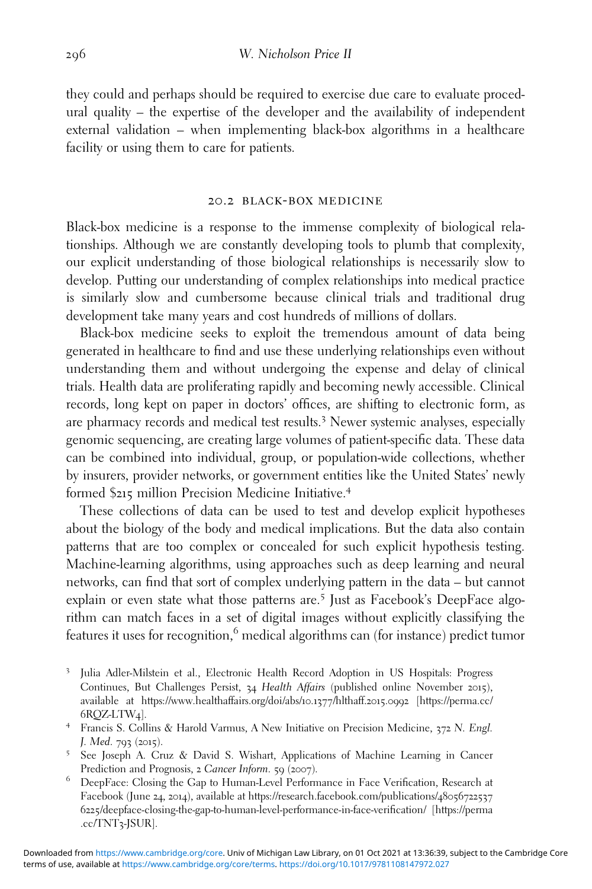they could and perhaps should be required to exercise due care to evaluate procedural quality – the expertise of the developer and the availability of independent external validation – when implementing black-box algorithms in a healthcare facility or using them to care for patients.

#### 20.2 black-box medicine

Black-box medicine is a response to the immense complexity of biological relationships. Although we are constantly developing tools to plumb that complexity, our explicit understanding of those biological relationships is necessarily slow to develop. Putting our understanding of complex relationships into medical practice is similarly slow and cumbersome because clinical trials and traditional drug development take many years and cost hundreds of millions of dollars.

Black-box medicine seeks to exploit the tremendous amount of data being generated in healthcare to find and use these underlying relationships even without understanding them and without undergoing the expense and delay of clinical trials. Health data are proliferating rapidly and becoming newly accessible. Clinical records, long kept on paper in doctors' offices, are shifting to electronic form, as are pharmacy records and medical test results.<sup>3</sup> Newer systemic analyses, especially genomic sequencing, are creating large volumes of patient-specific data. These data can be combined into individual, group, or population-wide collections, whether by insurers, provider networks, or government entities like the United States' newly formed \$<sup>215</sup> million Precision Medicine Initiative.<sup>4</sup>

These collections of data can be used to test and develop explicit hypotheses about the biology of the body and medical implications. But the data also contain patterns that are too complex or concealed for such explicit hypothesis testing. Machine-learning algorithms, using approaches such as deep learning and neural networks, can find that sort of complex underlying pattern in the data – but cannot explain or even state what those patterns are.<sup>5</sup> Just as Facebook's DeepFace algorithm can match faces in a set of digital images without explicitly classifying the features it uses for recognition,<sup>6</sup> medical algorithms can (for instance) predict tumor

- <sup>3</sup> Julia Adler-Milstein et al., Electronic Health Record Adoption in US Hospitals: Progress Continues, But Challenges Persist, 34 Health Affairs (published online November 2015), available at https://www.healthaffairs.org/doi/abs/10.1377/hlthaff.2015.0992 [https://perma.cc/ <sup>6</sup>RQZ-LTW4]. <sup>4</sup> Francis S. Collins & Harold Varmus, A New Initiative on Precision Medicine, <sup>372</sup> N. Engl.
- J. Med. <sup>793</sup> (2015). <sup>5</sup> See Joseph A. Cruz & David S. Wishart, Applications of Machine Learning in Cancer
- 
- Prediction and Prognosis, 2 Cancer Inform. 59 (2007).<br><sup>6</sup> DeepFace: Closing the Gap to Human-Level Performance in Face Verification, Research at Facebook (June 24, 2014), available at https://research.facebook.com/publications/48056722537 6225/deepface-closing-the-gap-to-human-level-performance-in-face-verification/ [https://perma .cc/TNT3-JSUR].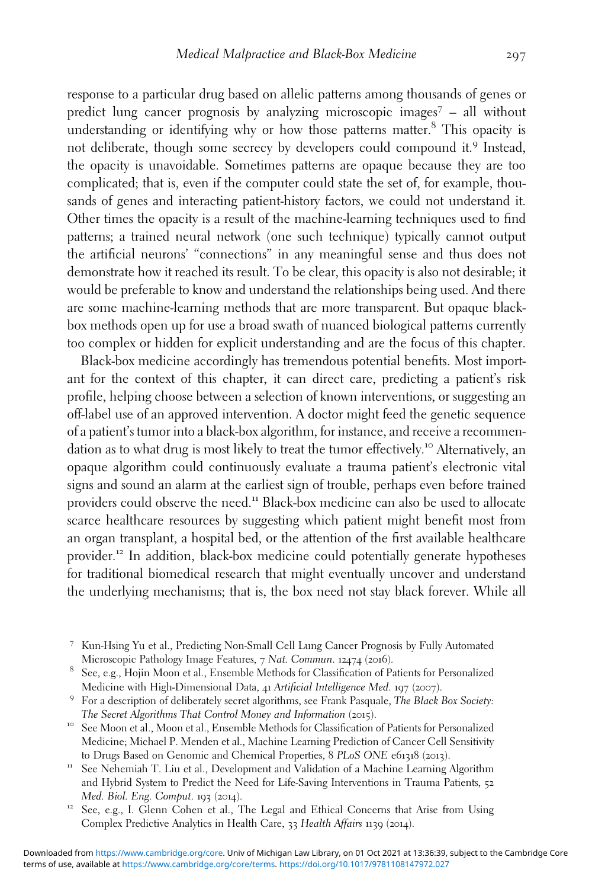response to a particular drug based on allelic patterns among thousands of genes or predict lung cancer prognosis by analyzing microscopic images<sup>7</sup> – all without understanding or identifying why or how those patterns matter.<sup>8</sup> This opacity is not deliberate, though some secrecy by developers could compound it.<sup>9</sup> Instead, the opacity is unavoidable. Sometimes patterns are opaque because they are too complicated; that is, even if the computer could state the set of, for example, thousands of genes and interacting patient-history factors, we could not understand it. Other times the opacity is a result of the machine-learning techniques used to find patterns; a trained neural network (one such technique) typically cannot output the artificial neurons' "connections" in any meaningful sense and thus does not demonstrate how it reached its result. To be clear, this opacity is also not desirable; it would be preferable to know and understand the relationships being used. And there are some machine-learning methods that are more transparent. But opaque blackbox methods open up for use a broad swath of nuanced biological patterns currently too complex or hidden for explicit understanding and are the focus of this chapter.

Black-box medicine accordingly has tremendous potential benefits. Most important for the context of this chapter, it can direct care, predicting a patient's risk profile, helping choose between a selection of known interventions, or suggesting an off-label use of an approved intervention. A doctor might feed the genetic sequence of a patient's tumor into a black-box algorithm, for instance, and receive a recommendation as to what drug is most likely to treat the tumor effectively.<sup>10</sup> Alternatively, an opaque algorithm could continuously evaluate a trauma patient's electronic vital signs and sound an alarm at the earliest sign of trouble, perhaps even before trained providers could observe the need.<sup>11</sup> Black-box medicine can also be used to allocate scarce healthcare resources by suggesting which patient might benefit most from an organ transplant, a hospital bed, or the attention of the first available healthcare provider.<sup>12</sup> In addition, black-box medicine could potentially generate hypotheses for traditional biomedical research that might eventually uncover and understand the underlying mechanisms; that is, the box need not stay black forever. While all

- <sup>7</sup> Kun-Hsing Yu et al., Predicting Non-Small Cell Lung Cancer Prognosis by Fully Automated Microscopic Pathology Image Features,  $7$  Nat. Commun. 12474 (2016).
- $^8$  See, e.g., Hojin Moon et al., Ensemble Methods for Classification of Patients for Personalized Medicine with High-Dimensional Data, 41 Artificial Intelligence Med. 197 (2007).<br><sup>9</sup> For a description of deliberately secret algorithms, see Frank Pasquale, *The Black Box Society*:
- 
- The Secret Algorithms That Control Money and Information (2015).<br><sup>10</sup> See Moon et al., Moon et al., Ensemble Methods for Classification of Patients for Personalized Medicine; Michael P. Menden et al., Machine Learning Prediction of Cancer Cell Sensitivity to Drugs Based on Genomic and Chemical Properties, 8 PLoS ONE e61318 (2013).
- <sup>11</sup> See Nehemiah T. Liu et al., Development and Validation of a Machine Learning Algorithm and Hybrid System to Predict the Need for Life-Saving Interventions in Trauma Patients, 52 Med. Biol. Eng. Comput. <sup>193</sup> (2014). <sup>12</sup> See, e.g., I. Glenn Cohen et al., The Legal and Ethical Concerns that Arise from Using
- Complex Predictive Analytics in Health Care, 33 Health Affairs 1139 (2014).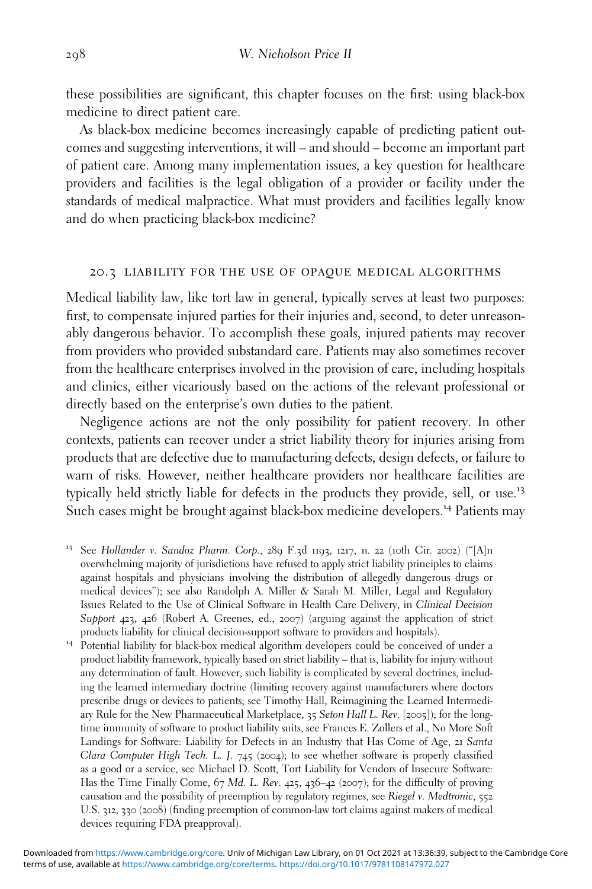these possibilities are significant, this chapter focuses on the first: using black-box medicine to direct patient care.

As black-box medicine becomes increasingly capable of predicting patient outcomes and suggesting interventions, it will – and should – become an important part of patient care. Among many implementation issues, a key question for healthcare providers and facilities is the legal obligation of a provider or facility under the standards of medical malpractice. What must providers and facilities legally know and do when practicing black-box medicine?

#### 20.3 liability for the use of opaque medical algorithms

Medical liability law, like tort law in general, typically serves at least two purposes: first, to compensate injured parties for their injuries and, second, to deter unreasonably dangerous behavior. To accomplish these goals, injured patients may recover from providers who provided substandard care. Patients may also sometimes recover from the healthcare enterprises involved in the provision of care, including hospitals and clinics, either vicariously based on the actions of the relevant professional or directly based on the enterprise's own duties to the patient.

Negligence actions are not the only possibility for patient recovery. In other contexts, patients can recover under a strict liability theory for injuries arising from products that are defective due to manufacturing defects, design defects, or failure to warn of risks. However, neither healthcare providers nor healthcare facilities are typically held strictly liable for defects in the products they provide, sell, or use.<sup>13</sup> Such cases might be brought against black-box medicine developers.<sup>14</sup> Patients may

- <sup>13</sup> See Hollander v. Sandoz Pharm. Corp., 289 F.3d 1193, 1217, n. 22 (10th Cir. 2002) ("[A]n overwhelming majority of jurisdictions have refused to apply strict liability principles to claims against hospitals and physicians involving the distribution of allegedly dangerous drugs or medical devices"); see also Randolph A. Miller & Sarah M. Miller, Legal and Regulatory Issues Related to the Use of Clinical Software in Health Care Delivery, in Clinical Decision Support 423, 426 (Robert A. Greenes, ed., 2007) (arguing against the application of strict
- products liability for clinical decision-support software to providers and hospitals). <sup>14</sup> Potential liability for black-box medical algorithm developers could be conceived of under a product liability framework, typically based on strict liability – that is, liability for injury without any determination of fault. However, such liability is complicated by several doctrines, including the learned intermediary doctrine (limiting recovery against manufacturers where doctors prescribe drugs or devices to patients; see Timothy Hall, Reimagining the Learned Intermediary Rule for the New Pharmaceutical Marketplace, 35 Seton Hall L. Rev. [2005]); for the longtime immunity of software to product liability suits, see Frances E. Zollers et al., No More Soft Landings for Software: Liability for Defects in an Industry that Has Come of Age, 21 Santa Clara Computer High Tech. L. J. 745 (2004); to see whether software is properly classified as a good or a service, see Michael D. Scott, Tort Liability for Vendors of Insecure Software: Has the Time Finally Come, 67 Md. L. Rev. 425, 436–42 (2007); for the difficulty of proving causation and the possibility of preemption by regulatory regimes, see Riegel v. Medtronic, 552 U.S. 312, 330 (2008) (finding preemption of common-law tort claims against makers of medical devices requiring FDA preapproval).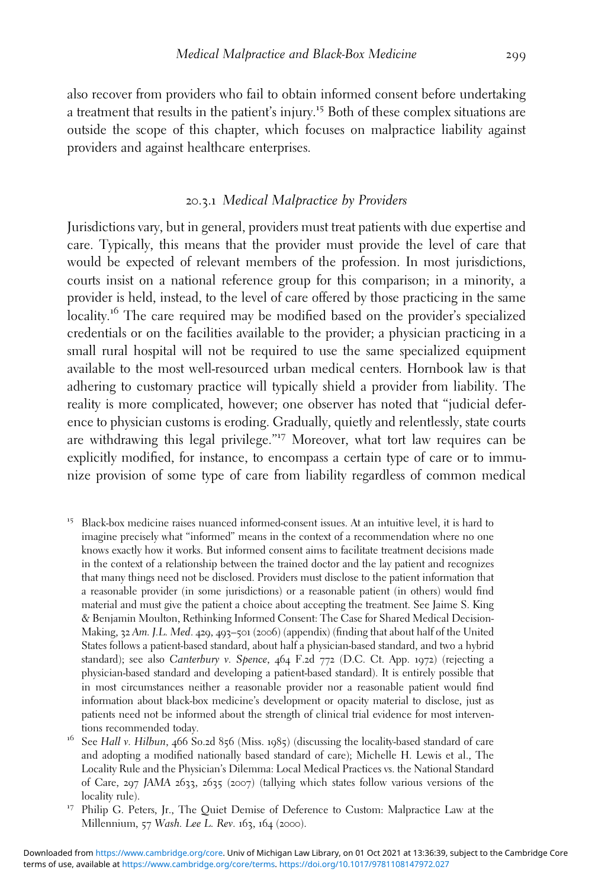also recover from providers who fail to obtain informed consent before undertaking a treatment that results in the patient's injury.<sup>15</sup> Both of these complex situations are outside the scope of this chapter, which focuses on malpractice liability against providers and against healthcare enterprises.

### 20.3.1 Medical Malpractice by Providers

Jurisdictions vary, but in general, providers must treat patients with due expertise and care. Typically, this means that the provider must provide the level of care that would be expected of relevant members of the profession. In most jurisdictions, courts insist on a national reference group for this comparison; in a minority, a provider is held, instead, to the level of care offered by those practicing in the same locality.<sup>16</sup> The care required may be modified based on the provider's specialized credentials or on the facilities available to the provider; a physician practicing in a small rural hospital will not be required to use the same specialized equipment available to the most well-resourced urban medical centers. Hornbook law is that adhering to customary practice will typically shield a provider from liability. The reality is more complicated, however; one observer has noted that "judicial deference to physician customs is eroding. Gradually, quietly and relentlessly, state courts are withdrawing this legal privilege." <sup>17</sup> Moreover, what tort law requires can be explicitly modified, for instance, to encompass a certain type of care or to immunize provision of some type of care from liability regardless of common medical

- <sup>15</sup> Black-box medicine raises nuanced informed-consent issues. At an intuitive level, it is hard to imagine precisely what "informed" means in the context of a recommendation where no one knows exactly how it works. But informed consent aims to facilitate treatment decisions made in the context of a relationship between the trained doctor and the lay patient and recognizes that many things need not be disclosed. Providers must disclose to the patient information that a reasonable provider (in some jurisdictions) or a reasonable patient (in others) would find material and must give the patient a choice about accepting the treatment. See Jaime S. King & Benjamin Moulton, Rethinking Informed Consent: The Case for Shared Medical Decision-Making, 32 Am. J.L. Med. 429, 493–501 (2006) (appendix) (finding that about half of the United States follows a patient-based standard, about half a physician-based standard, and two a hybrid standard); see also Canterbury v. Spence, 464 F.2d 772 (D.C. Ct. App. 1972) (rejecting a physician-based standard and developing a patient-based standard). It is entirely possible that in most circumstances neither a reasonable provider nor a reasonable patient would find information about black-box medicine's development or opacity material to disclose, just as patients need not be informed about the strength of clinical trial evidence for most interven-
- tions recommended today. 16 See Hall v. Hilbun, 466 So.2d 856 (Miss. 1985) (discussing the locality-based standard of care and adopting a modified nationally based standard of care); Michelle H. Lewis et al., The Locality Rule and the Physician's Dilemma: Local Medical Practices vs. the National Standard of Care, 297 JAMA 2633, 2635 (2007) (tallying which states follow various versions of the locality rule). <sup>17</sup> Philip G. Peters, Jr., The Quiet Demise of Deference to Custom: Malpractice Law at the
- Millennium, 57 Wash. Lee L. Rev. 163, 164 (2000).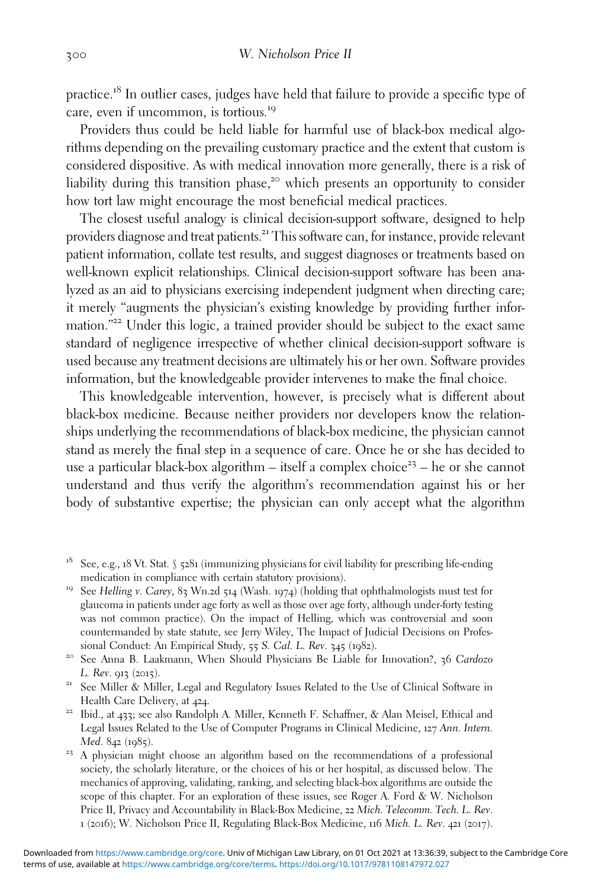practice.<sup>18</sup> In outlier cases, judges have held that failure to provide a specific type of care, even if uncommon, is tortious.<sup>19</sup>

Providers thus could be held liable for harmful use of black-box medical algorithms depending on the prevailing customary practice and the extent that custom is considered dispositive. As with medical innovation more generally, there is a risk of liability during this transition phase,<sup>20</sup> which presents an opportunity to consider how tort law might encourage the most beneficial medical practices.

The closest useful analogy is clinical decision-support software, designed to help providers diagnose and treat patients.<sup>21</sup> This software can, for instance, provide relevant patient information, collate test results, and suggest diagnoses or treatments based on well-known explicit relationships. Clinical decision-support software has been analyzed as an aid to physicians exercising independent judgment when directing care; it merely "augments the physician's existing knowledge by providing further information."<sup>22</sup> Under this logic, a trained provider should be subject to the exact same standard of negligence irrespective of whether clinical decision-support software is used because any treatment decisions are ultimately his or her own. Software provides information, but the knowledgeable provider intervenes to make the final choice.

This knowledgeable intervention, however, is precisely what is different about black-box medicine. Because neither providers nor developers know the relationships underlying the recommendations of black-box medicine, the physician cannot stand as merely the final step in a sequence of care. Once he or she has decided to use a particular black-box algorithm – itself a complex choice<sup>23</sup> – he or she cannot understand and thus verify the algorithm's recommendation against his or her body of substantive expertise; the physician can only accept what the algorithm

- 
- Health Care Delivery, at <sup>424</sup>. <sup>22</sup> Ibid., at <sup>433</sup>; see also Randolph A. Miller, Kenneth F. Schaffner, & Alan Meisel, Ethical and Legal Issues Related to the Use of Computer Programs in Clinical Medicine, 127 Ann. Intern. Med. 842 (1985). 23 A physician might choose an algorithm based on the recommendations of a professional
- society, the scholarly literature, or the choices of his or her hospital, as discussed below. The mechanics of approving, validating, ranking, and selecting black-box algorithms are outside the scope of this chapter. For an exploration of these issues, see Roger A. Ford & W. Nicholson Price II, Privacy and Accountability in Black-Box Medicine, 22 Mich. Telecomm. Tech. L. Rev. 1 (2016); W. Nicholson Price II, Regulating Black-Box Medicine, 116 Mich. L. Rev. 421 (2017).

<sup>&</sup>lt;sup>18</sup> See, e.g., 18 Vt. Stat. § 5281 (immunizing physicians for civil liability for prescribing life-ending medication in compliance with certain statutory provisions). <sup>19</sup> See Helling v. Carey, 83 Wn.2d 514 (Wash. 1974) (holding that ophthalmologists must test for

glaucoma in patients under age forty as well as those over age forty, although under-forty testing was not common practice). On the impact of Helling, which was controversial and soon countermanded by state statute, see Jerry Wiley, The Impact of Judicial Decisions on Professional Conduct: An Empirical Study, 55 S. Cal. L. Rev. 345 (1982).<br><sup>20</sup> See Anna B. Laakmann, When Should Physicians Be Liable for Innovation?, 36 Cardozo

L. Rev. 913 (2015).<br><sup>21</sup> See Miller & Miller, Legal and Regulatory Issues Related to the Use of Clinical Software in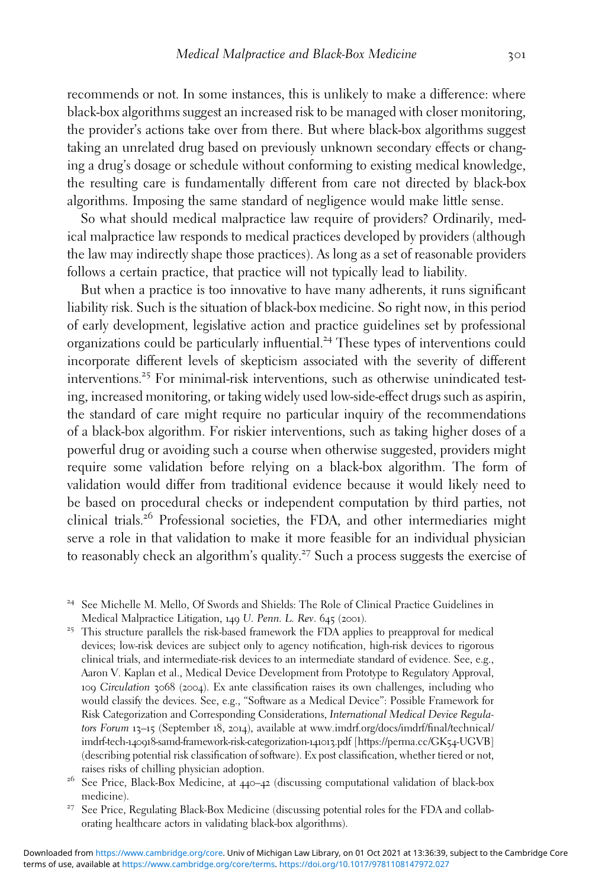recommends or not. In some instances, this is unlikely to make a difference: where black-box algorithms suggest an increased risk to be managed with closer monitoring, the provider's actions take over from there. But where black-box algorithms suggest taking an unrelated drug based on previously unknown secondary effects or changing a drug's dosage or schedule without conforming to existing medical knowledge, the resulting care is fundamentally different from care not directed by black-box algorithms. Imposing the same standard of negligence would make little sense.

So what should medical malpractice law require of providers? Ordinarily, medical malpractice law responds to medical practices developed by providers (although the law may indirectly shape those practices). As long as a set of reasonable providers follows a certain practice, that practice will not typically lead to liability.

But when a practice is too innovative to have many adherents, it runs significant liability risk. Such is the situation of black-box medicine. So right now, in this period of early development, legislative action and practice guidelines set by professional organizations could be particularly influential.<sup>24</sup> These types of interventions could incorporate different levels of skepticism associated with the severity of different interventions.<sup>25</sup> For minimal-risk interventions, such as otherwise unindicated testing, increased monitoring, or taking widely used low-side-effect drugs such as aspirin, the standard of care might require no particular inquiry of the recommendations of a black-box algorithm. For riskier interventions, such as taking higher doses of a powerful drug or avoiding such a course when otherwise suggested, providers might require some validation before relying on a black-box algorithm. The form of validation would differ from traditional evidence because it would likely need to be based on procedural checks or independent computation by third parties, not clinical trials.<sup>26</sup> Professional societies, the FDA, and other intermediaries might serve a role in that validation to make it more feasible for an individual physician to reasonably check an algorithm's quality.<sup>27</sup> Such a process suggests the exercise of

<sup>24</sup> See Michelle M. Mello, Of Swords and Shields: The Role of Clinical Practice Guidelines in Medical Malpractice Litigation, 149 U. Penn. L. Rev. 645 (2001).<br><sup>25</sup> This structure parallels the risk-based framework the FDA applies to preapproval for medical

devices; low-risk devices are subject only to agency notification, high-risk devices to rigorous clinical trials, and intermediate-risk devices to an intermediate standard of evidence. See, e.g., Aaron V. Kaplan et al., Medical Device Development from Prototype to Regulatory Approval, 109 Circulation 3068 (2004). Ex ante classification raises its own challenges, including who would classify the devices. See, e.g., "Software as a Medical Device": Possible Framework for Risk Categorization and Corresponding Considerations, International Medical Device Regulators Forum 13–15 (September 18, 2014), available at www.imdrf.org/docs/imdrf/final/technical/ imdrf-tech-140918-samd-framework-risk-categorization-141013.pdf [https://perma.cc/GK54-UGVB] (describing potential risk classification of software). Ex post classification, whether tiered or not, raises risks of chilling physician adoption.<br><sup>26</sup> See Price, Black-Box Medicine, at 440–42 (discussing computational validation of black-box

- medicine). 27 See Price, Regulating Black-Box Medicine (discussing potential roles for the FDA and collab-
- orating healthcare actors in validating black-box algorithms).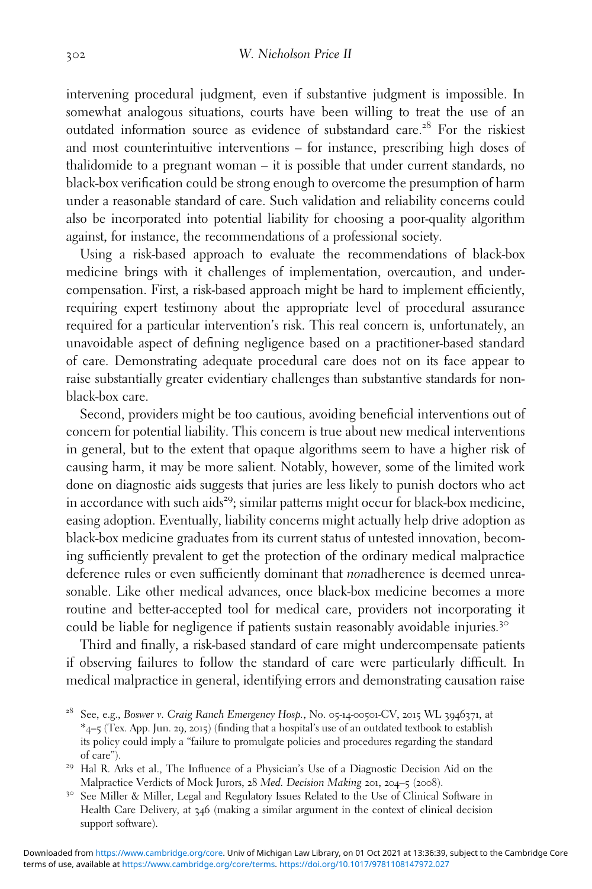intervening procedural judgment, even if substantive judgment is impossible. In somewhat analogous situations, courts have been willing to treat the use of an outdated information source as evidence of substandard care.<sup>28</sup> For the riskiest and most counterintuitive interventions – for instance, prescribing high doses of thalidomide to a pregnant woman – it is possible that under current standards, no black-box verification could be strong enough to overcome the presumption of harm under a reasonable standard of care. Such validation and reliability concerns could also be incorporated into potential liability for choosing a poor-quality algorithm against, for instance, the recommendations of a professional society.

Using a risk-based approach to evaluate the recommendations of black-box medicine brings with it challenges of implementation, overcaution, and undercompensation. First, a risk-based approach might be hard to implement efficiently, requiring expert testimony about the appropriate level of procedural assurance required for a particular intervention's risk. This real concern is, unfortunately, an unavoidable aspect of defining negligence based on a practitioner-based standard of care. Demonstrating adequate procedural care does not on its face appear to raise substantially greater evidentiary challenges than substantive standards for nonblack-box care.

Second, providers might be too cautious, avoiding beneficial interventions out of concern for potential liability. This concern is true about new medical interventions in general, but to the extent that opaque algorithms seem to have a higher risk of causing harm, it may be more salient. Notably, however, some of the limited work done on diagnostic aids suggests that juries are less likely to punish doctors who act in accordance with such aids<sup>29</sup>; similar patterns might occur for black-box medicine, easing adoption. Eventually, liability concerns might actually help drive adoption as black-box medicine graduates from its current status of untested innovation, becoming sufficiently prevalent to get the protection of the ordinary medical malpractice deference rules or even sufficiently dominant that nonadherence is deemed unreasonable. Like other medical advances, once black-box medicine becomes a more routine and better-accepted tool for medical care, providers not incorporating it could be liable for negligence if patients sustain reasonably avoidable injuries.<sup>30</sup>

Third and finally, a risk-based standard of care might undercompensate patients if observing failures to follow the standard of care were particularly difficult. In medical malpractice in general, identifying errors and demonstrating causation raise

- of care").<br><sup>29</sup> Hal R. Arks et al., The Influence of a Physician's Use of a Diagnostic Decision Aid on the Malpractice Verdicts of Mock Jurors, 28 *Med. Decision Making* 201, 204–5 (2008).
- <sup>30</sup> See Miller & Miller, Legal and Regulatory Issues Related to the Use of Clinical Software in Health Care Delivery, at 346 (making a similar argument in the context of clinical decision support software).

<sup>&</sup>lt;sup>28</sup> See, e.g., Boswer v. Craig Ranch Emergency Hosp., No. 05-14-00501-CV, 2015 WL 3946371, at  $*_4$ –5 (Tex. App. Jun. 29, 2015) (finding that a hospital's use of an outdated textbook to establish its policy could imply a "failure to promulgate policies and procedures regarding the standard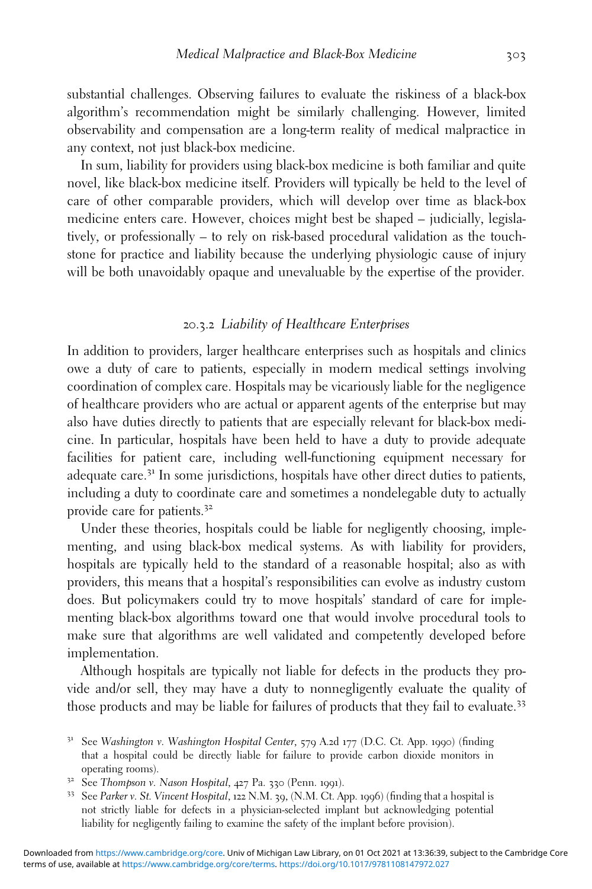substantial challenges. Observing failures to evaluate the riskiness of a black-box algorithm's recommendation might be similarly challenging. However, limited observability and compensation are a long-term reality of medical malpractice in any context, not just black-box medicine.

In sum, liability for providers using black-box medicine is both familiar and quite novel, like black-box medicine itself. Providers will typically be held to the level of care of other comparable providers, which will develop over time as black-box medicine enters care. However, choices might best be shaped – judicially, legislatively, or professionally – to rely on risk-based procedural validation as the touchstone for practice and liability because the underlying physiologic cause of injury will be both unavoidably opaque and unevaluable by the expertise of the provider.

### 20.3.2 Liability of Healthcare Enterprises

In addition to providers, larger healthcare enterprises such as hospitals and clinics owe a duty of care to patients, especially in modern medical settings involving coordination of complex care. Hospitals may be vicariously liable for the negligence of healthcare providers who are actual or apparent agents of the enterprise but may also have duties directly to patients that are especially relevant for black-box medicine. In particular, hospitals have been held to have a duty to provide adequate facilities for patient care, including well-functioning equipment necessary for adequate care.<sup>31</sup> In some jurisdictions, hospitals have other direct duties to patients, including a duty to coordinate care and sometimes a nondelegable duty to actually provide care for patients.<sup>32</sup>

Under these theories, hospitals could be liable for negligently choosing, implementing, and using black-box medical systems. As with liability for providers, hospitals are typically held to the standard of a reasonable hospital; also as with providers, this means that a hospital's responsibilities can evolve as industry custom does. But policymakers could try to move hospitals' standard of care for implementing black-box algorithms toward one that would involve procedural tools to make sure that algorithms are well validated and competently developed before implementation.

Although hospitals are typically not liable for defects in the products they provide and/or sell, they may have a duty to nonnegligently evaluate the quality of those products and may be liable for failures of products that they fail to evaluate.<sup>33</sup>

<sup>&</sup>lt;sup>31</sup> See Washington v. Washington Hospital Center, 579 A.2d 177 (D.C. Ct. App. 1990) (finding that a hospital could be directly liable for failure to provide carbon dioxide monitors in operating rooms).<br><sup>32</sup> See *Thompson v. Nason Hospital*, 427 Pa. 330 (Penn. 1991).<br><sup>33</sup> See Parker v. St. Vincent Hospital, 122 N.M. 39, (N.M. Ct. App. 1996) (finding that a hospital is

not strictly liable for defects in a physician-selected implant but acknowledging potential liability for negligently failing to examine the safety of the implant before provision).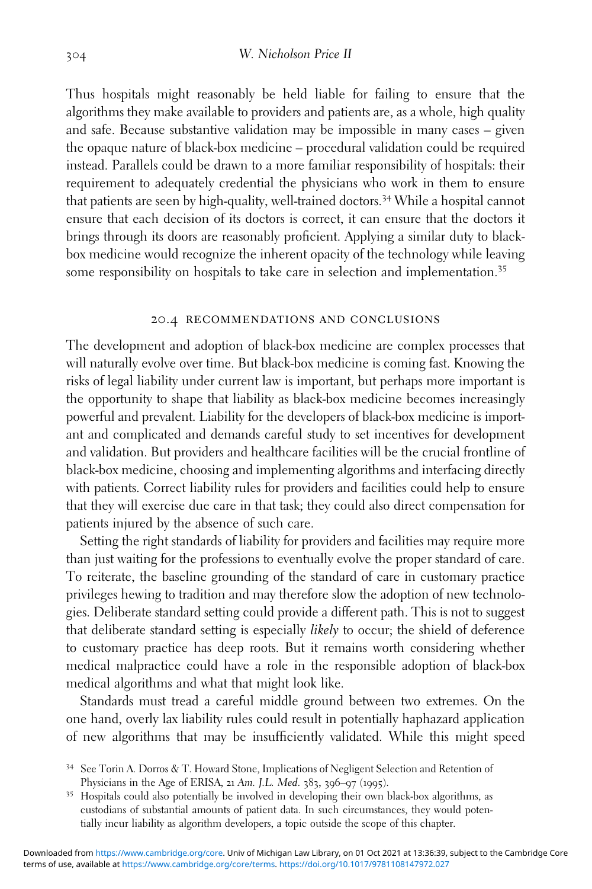Thus hospitals might reasonably be held liable for failing to ensure that the algorithms they make available to providers and patients are, as a whole, high quality and safe. Because substantive validation may be impossible in many cases – given the opaque nature of black-box medicine – procedural validation could be required instead. Parallels could be drawn to a more familiar responsibility of hospitals: their requirement to adequately credential the physicians who work in them to ensure that patients are seen by high-quality, well-trained doctors.<sup>34</sup> While a hospital cannot ensure that each decision of its doctors is correct, it can ensure that the doctors it brings through its doors are reasonably proficient. Applying a similar duty to blackbox medicine would recognize the inherent opacity of the technology while leaving some responsibility on hospitals to take care in selection and implementation.<sup>35</sup>

#### 20.4 recommendations and conclusions

The development and adoption of black-box medicine are complex processes that will naturally evolve over time. But black-box medicine is coming fast. Knowing the risks of legal liability under current law is important, but perhaps more important is the opportunity to shape that liability as black-box medicine becomes increasingly powerful and prevalent. Liability for the developers of black-box medicine is important and complicated and demands careful study to set incentives for development and validation. But providers and healthcare facilities will be the crucial frontline of black-box medicine, choosing and implementing algorithms and interfacing directly with patients. Correct liability rules for providers and facilities could help to ensure that they will exercise due care in that task; they could also direct compensation for patients injured by the absence of such care.

Setting the right standards of liability for providers and facilities may require more than just waiting for the professions to eventually evolve the proper standard of care. To reiterate, the baseline grounding of the standard of care in customary practice privileges hewing to tradition and may therefore slow the adoption of new technologies. Deliberate standard setting could provide a different path. This is not to suggest that deliberate standard setting is especially *likely* to occur; the shield of deference to customary practice has deep roots. But it remains worth considering whether medical malpractice could have a role in the responsible adoption of black-box medical algorithms and what that might look like.

Standards must tread a careful middle ground between two extremes. On the one hand, overly lax liability rules could result in potentially haphazard application of new algorithms that may be insufficiently validated. While this might speed

<sup>34</sup> See Torin A. Dorros & T. Howard Stone, Implications of Negligent Selection and Retention of Physicians in the Age of ERISA, 21 Am. J.L. Med. 383, 396–97 (1995).<br><sup>35</sup> Hospitals could also potentially be involved in developing their own black-box algorithms, as

custodians of substantial amounts of patient data. In such circumstances, they would potentially incur liability as algorithm developers, a topic outside the scope of this chapter.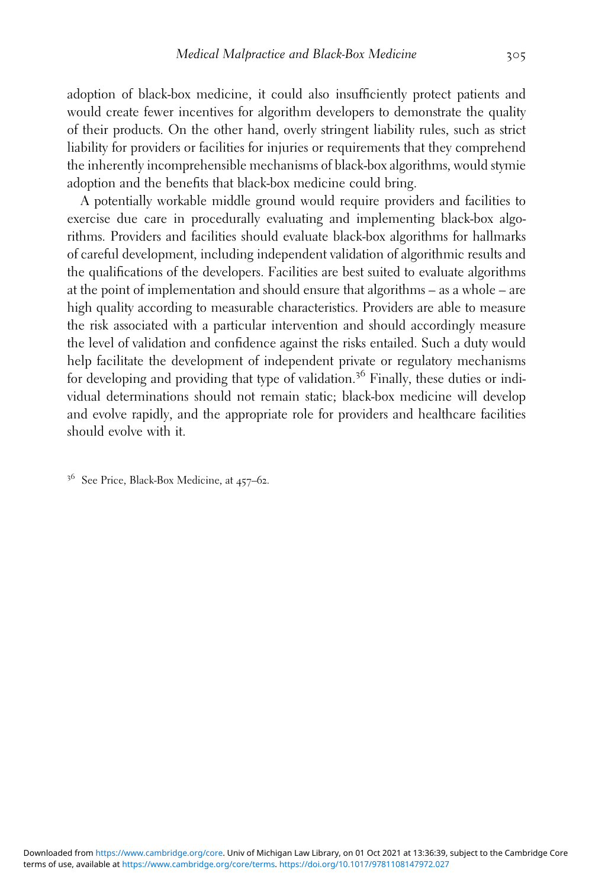adoption of black-box medicine, it could also insufficiently protect patients and would create fewer incentives for algorithm developers to demonstrate the quality of their products. On the other hand, overly stringent liability rules, such as strict liability for providers or facilities for injuries or requirements that they comprehend the inherently incomprehensible mechanisms of black-box algorithms, would stymie adoption and the benefits that black-box medicine could bring.

A potentially workable middle ground would require providers and facilities to exercise due care in procedurally evaluating and implementing black-box algorithms. Providers and facilities should evaluate black-box algorithms for hallmarks of careful development, including independent validation of algorithmic results and the qualifications of the developers. Facilities are best suited to evaluate algorithms at the point of implementation and should ensure that algorithms – as a whole – are high quality according to measurable characteristics. Providers are able to measure the risk associated with a particular intervention and should accordingly measure the level of validation and confidence against the risks entailed. Such a duty would help facilitate the development of independent private or regulatory mechanisms for developing and providing that type of validation.<sup>36</sup> Finally, these duties or individual determinations should not remain static; black-box medicine will develop and evolve rapidly, and the appropriate role for providers and healthcare facilities should evolve with it.

<sup>&</sup>lt;sup>36</sup> See Price, Black-Box Medicine, at 457–62.